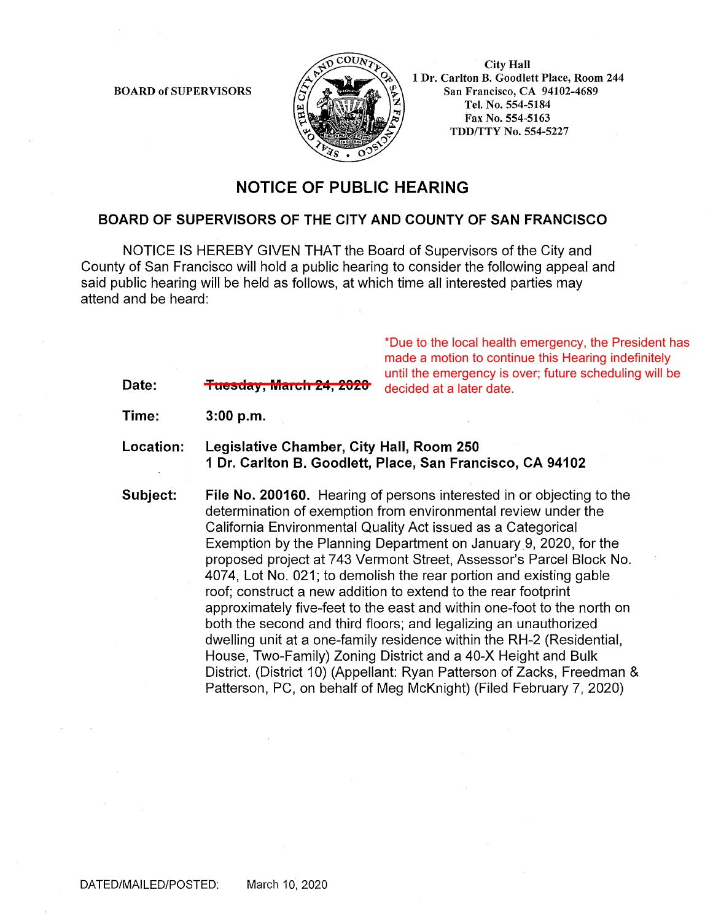BOARD of SUPERVISORS



City Hall 1 Dr. Carlton B. Goodlett Place, Room 244 San Francisco, CA 94102-4689 Tel. No. 554-5184 Fax No. 554-5163 TDD/TTY No. 554-5227

## **NOTICE OF PUBLIC HEARING**

## **BOARD OF SUPERVISORS OF THE CITY AND COUNTY OF SAN FRANCISCO**

NOTICE IS HEREBY GIVEN THAT the Board of Supervisors of the City and County of San Francisco will hold a public hearing to consider the following appeal and said public hearing will be held as follows, at which time all interested parties may attend and be heard:

> \*Due to the local health emergency, the President has made a motion to continue this Hearing indefinitely until the emergency is over; future scheduling will be decided at a later date.

Date: <del>Tuesday, March 24, 2020</del>

**Time: 3:00 p.m.** 

**Location: Legislative Chamber, City Hall, Room 250 1 Dr. Carlton B. Goodlett, Place, San Francisco, CA 94102** 

**Subject: File No. 200160.** Hearing of persons interested in or objecting to the determination of exemption from environmental review under the California Environmental Quality Act issued as a Categorical Exemption by the Planning Department on January 9, 2020, for the proposed project at 743 Vermont Street, Assessor's Parcel Block No. 4074, Lot No. 021; to demolish the rear portion and existing gable roof; construct a new addition to extend to the rear footprint approximately five-feet to the east and within one-foot to the north on both the second and third floors; and legalizing an unauthorized dwelling unit at a one-family residence within the RH-2 (Residential, House, Two-Family) Zoning District and a 40-X Height and Bulk District. (District 10) (Appellant: Ryan Patterson of Zacks, Freedman & Patterson, PC, on behalf of Meg McKnight) (Filed February 7, 2020)